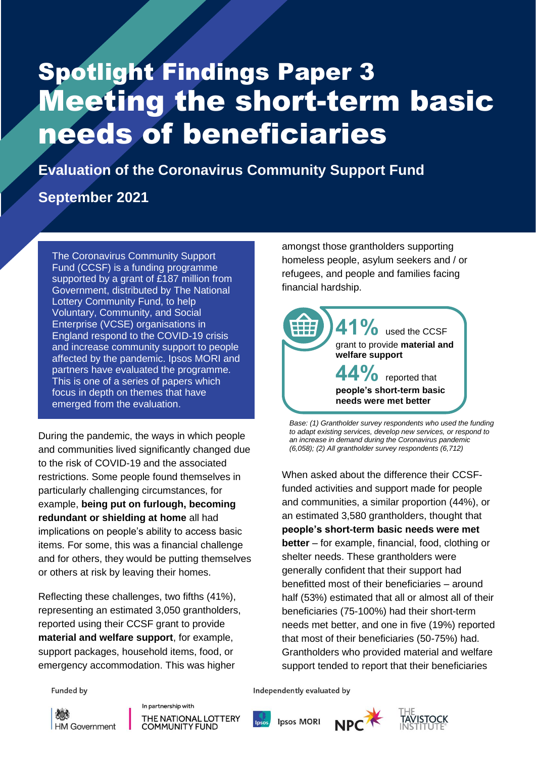# Spotlight Findings Paper 3 Meeting the short-term basic needs of beneficiaries

Ipsos MORI | Evaluation of CCSF: Spotlight Findings Paper 3 1

**Evaluation of the Coronavirus Community Support Fund**

# **September 2021**

The Coronavirus Community Support Fund (CCSF) is a funding programme supported by a grant of £187 million from Government, distributed by The National Lottery Community Fund, to help Voluntary, Community, and Social Enterprise (VCSE) organisations in England respond to the COVID-19 crisis and increase community support to people affected by the pandemic. Ipsos MORI and partners have evaluated the programme. This is one of a series of papers which focus in depth on themes that have emerged from the evaluation.

During the pandemic, the ways in which people and communities lived significantly changed due to the risk of COVID-19 and the associated restrictions. Some people found themselves in particularly challenging circumstances, for example, **being put on furlough, becoming redundant or shielding at home** all had implications on people's ability to access basic items. For some, this was a financial challenge and for others, they would be putting themselves or others at risk by leaving their homes.

Reflecting these challenges, two fifths (41%), representing an estimated 3,050 grantholders, reported using their CCSF grant to provide **material and welfare support**, for example, support packages, household items, food, or emergency accommodation. This was higher

amongst those grantholders supporting homeless people, asylum seekers and / or refugees, and people and families facing financial hardship.



*Base: (1) Grantholder survey respondents who used the funding to adapt existing services, develop new services, or respond to an increase in demand during the Coronavirus pandemic (6,058); (2) All grantholder survey respondents (6,712)*

When asked about the difference their CCSFfunded activities and support made for people and communities, a similar proportion (44%), or an estimated 3,580 grantholders, thought that **people's short-term basic needs were met better** – for example, financial, food, clothing or shelter needs. These grantholders were generally confident that their support had benefitted most of their beneficiaries – around half (53%) estimated that all or almost all of their beneficiaries (75-100%) had their short-term needs met better, and one in five (19%) reported that most of their beneficiaries (50-75%) had. Grantholders who provided material and welfare support tended to report that their beneficiaries

**Funded by** 

後人 **HM Government**  In partnership with THE NATIONAL LOTTERY **COMMUNITY FUND** 

Independently evaluated by

**Ipsos MORI** 



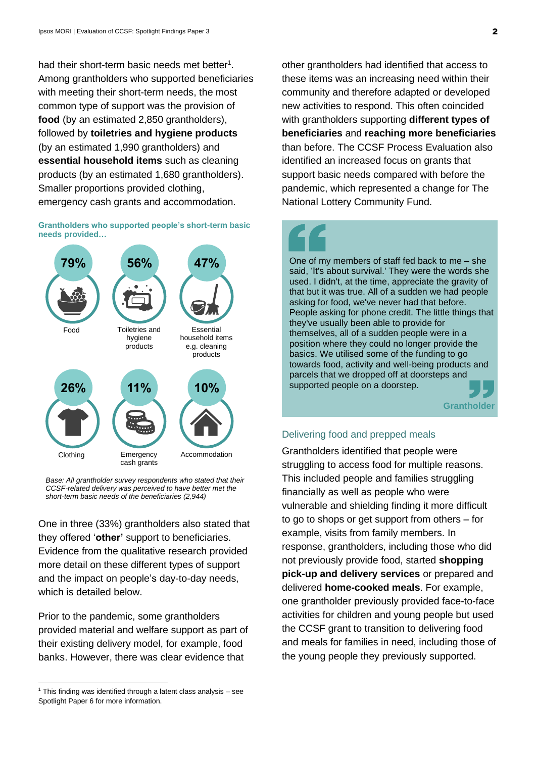had their short-term basic needs met better $1$ . Among grantholders who supported beneficiaries with meeting their short-term needs, the most common type of support was the provision of **food** (by an estimated 2,850 grantholders), followed by **toiletries and hygiene products** (by an estimated 1,990 grantholders) and **essential household items** such as cleaning products (by an estimated 1,680 grantholders). Smaller proportions provided clothing, emergency cash grants and accommodation.

### **Grantholders who supported people's short-term basic needs provided…**



*Base: All grantholder survey respondents who stated that their CCSF-related delivery was perceived to have better met the short-term basic needs of the beneficiaries (2,944)*

One in three (33%) grantholders also stated that they offered '**other'** support to beneficiaries. Evidence from the qualitative research provided more detail on these different types of support and the impact on people's day-to-day needs, which is detailed below.

Prior to the pandemic, some grantholders provided material and welfare support as part of their existing delivery model, for example, food banks. However, there was clear evidence that

other grantholders had identified that access to these items was an increasing need within their community and therefore adapted or developed new activities to respond. This often coincided with grantholders supporting **different types of beneficiaries** and **reaching more beneficiaries** than before. The CCSF Process Evaluation also identified an increased focus on grants that support basic needs compared with before the pandemic, which represented a change for The National Lottery Community Fund.

One of my members of staff fed back to me – she said, 'It's about survival.' They were the words she used. I didn't, at the time, appreciate the gravity of that but it was true. All of a sudden we had people asking for food, we've never had that before. People asking for phone credit. The little things that they've usually been able to provide for themselves, all of a sudden people were in a position where they could no longer provide the basics. We utilised some of the funding to go towards food, activity and well-being products and parcels that we dropped off at doorsteps and supported people on a doorstep.

**Grantholder**

### Delivering food and prepped meals

Grantholders identified that people were struggling to access food for multiple reasons. This included people and families struggling financially as well as people who were vulnerable and shielding finding it more difficult to go to shops or get support from others – for example, visits from family members. In response, grantholders, including those who did not previously provide food, started **shopping pick-up and delivery services** or prepared and delivered **home-cooked meals**. For example, one grantholder previously provided face-to-face activities for children and young people but used the CCSF grant to transition to delivering food and meals for families in need, including those of the young people they previously supported.

 $1$  This finding was identified through a latent class analysis – see Spotlight Paper 6 for more information.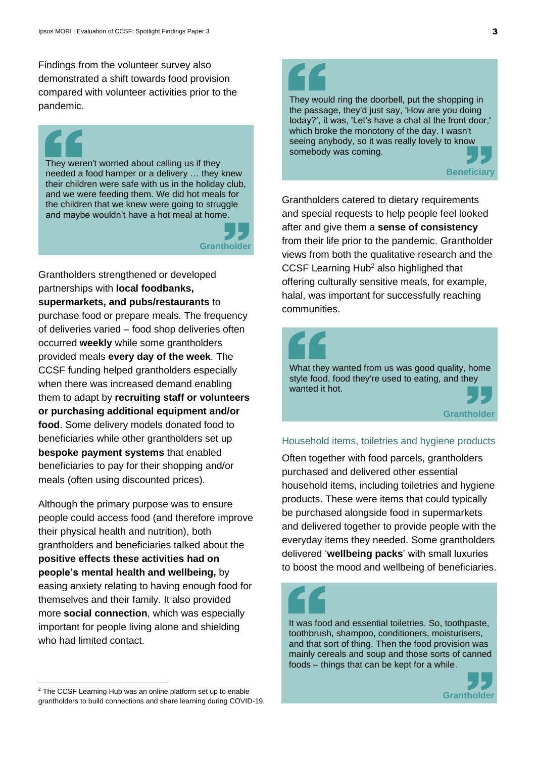Findings from the volunteer survey also demonstrated a shift towards food provision compared with volunteer activities prior to the pandemic.

They weren't worried about calling us if they needed a food hamper or a delivery … they knew their children were safe with us in the holiday club, and we were feeding them. We did hot meals for the children that we knew were going to struggle and maybe wouldn't have a hot meal at home.



Grantholders strengthened or developed partnerships with **local foodbanks, supermarkets, and pubs/restaurants** to purchase food or prepare meals. The frequency of deliveries varied – food shop deliveries often occurred **weekly** while some grantholders provided meals **every day of the week**. The CCSF funding helped grantholders especially when there was increased demand enabling them to adapt by **recruiting staff or volunteers or purchasing additional equipment and/or food**. Some delivery models donated food to beneficiaries while other grantholders set up **bespoke payment systems** that enabled beneficiaries to pay for their shopping and/or meals (often using discounted prices).

Although the primary purpose was to ensure people could access food (and therefore improve their physical health and nutrition), both grantholders and beneficiaries talked about the **positive effects these activities had on people's mental health and wellbeing,** by easing anxiety relating to having enough food for themselves and their family. It also provided more **social connection**, which was especially important for people living alone and shielding who had limited contact.

They would ring the doorbell, put the shopping in the passage, they'd just say, 'How are you doing today?', it was, 'Let's have a chat at the front door,' which broke the monotony of the day. I wasn't seeing anybody, so it was really lovely to know somebody was coming.

## **Beneficiar**

Grantholders catered to dietary requirements and special requests to help people feel looked after and give them a **sense of consistency** from their life prior to the pandemic. Grantholder views from both the qualitative research and the CCSF Learning Hub<sup>2</sup> also highlighed that offering culturally sensitive meals, for example, halal, was important for successfully reaching communities.



### Household items, toiletries and hygiene products

Often together with food parcels, grantholders purchased and delivered other essential household items, including toiletries and hygiene products. These were items that could typically be purchased alongside food in supermarkets and delivered together to provide people with the everyday items they needed. Some grantholders delivered '**wellbeing packs**' with small luxuries to boost the mood and wellbeing of beneficiaries.

It was food and essential toiletries. So, toothpaste, toothbrush, shampoo, conditioners, moisturisers, and that sort of thing. Then the food provision was mainly cereals and soup and those sorts of canned foods – things that can be kept for a while.



<sup>&</sup>lt;sup>2</sup> The CCSF Learning Hub was an online platform set up to enable grantholders to build connections and share learning during COVID-19.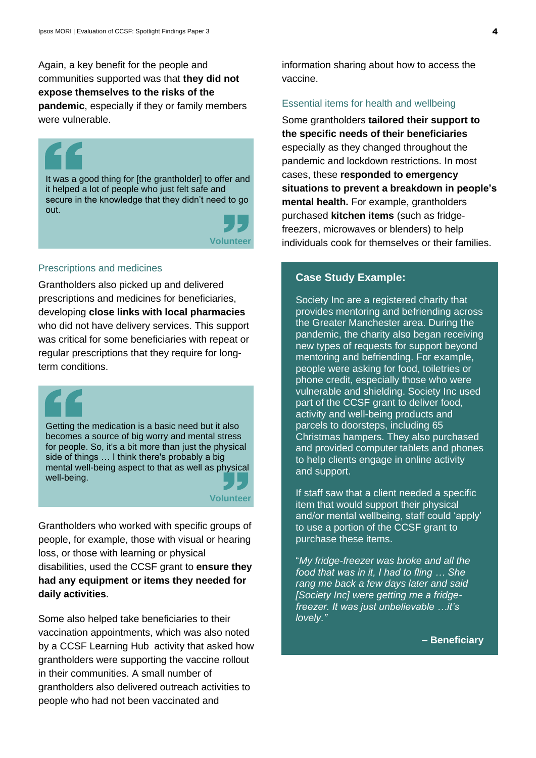Again, a key benefit for the people and communities supported was that **they did not expose themselves to the risks of the pandemic**, especially if they or family members were vulnerable.

It was a good thing for [the grantholder] to offer and it helped a lot of people who just felt safe and secure in the knowledge that they didn't need to go out.



### Prescriptions and medicines

Grantholders also picked up and delivered prescriptions and medicines for beneficiaries, developing **close links with local pharmacies** who did not have delivery services. This support was critical for some beneficiaries with repeat or regular prescriptions that they require for longterm conditions.

Getting the medication is a basic need but it also becomes a source of big worry and mental stress for people. So, it's a bit more than just the physical side of things … I think there's probably a big mental well-being aspect to that as well as physical well-being.

**Volunteer**

Grantholders who worked with specific groups of people, for example, those with visual or hearing loss, or those with learning or physical disabilities, used the CCSF grant to **ensure they had any equipment or items they needed for daily activities**.

Some also helped take beneficiaries to their vaccination appointments, which was also noted by a CCSF Learning Hub activity that asked how grantholders were supporting the vaccine rollout in their communities. A small number of grantholders also delivered outreach activities to people who had not been vaccinated and

information sharing about how to access the vaccine.

### Essential items for health and wellbeing

Some grantholders **tailored their support to the specific needs of their beneficiaries** especially as they changed throughout the pandemic and lockdown restrictions. In most cases, these **responded to emergency situations to prevent a breakdown in people's mental health.** For example, grantholders purchased **kitchen items** (such as fridgefreezers, microwaves or blenders) to help individuals cook for themselves or their families.

### **Case Study Example:**

Society Inc are a registered charity that provides mentoring and befriending across the Greater Manchester area. During the pandemic, the charity also began receiving new types of requests for support beyond mentoring and befriending. For example, people were asking for food, toiletries or phone credit, especially those who were vulnerable and shielding. Society Inc used part of the CCSF grant to deliver food, activity and well-being products and parcels to doorsteps, including 65 Christmas hampers. They also purchased and provided computer tablets and phones to help clients engage in online activity and support.

If staff saw that a client needed a specific item that would support their physical and/or mental wellbeing, staff could 'apply' to use a portion of the CCSF grant to purchase these items.

"*My fridge-freezer was broke and all the food that was in it, I had to fling … She rang me back a few days later and said [Society Inc] were getting me a fridgefreezer. It was just unbelievable …it's lovely."*

### **– Beneficiary**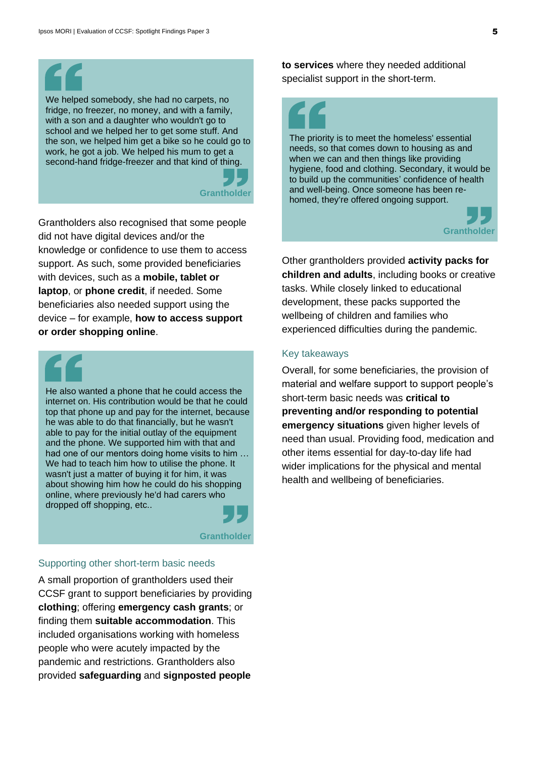We helped somebody, she had no carpets, no fridge, no freezer, no money, and with a family, with a son and a daughter who wouldn't go to school and we helped her to get some stuff. And the son, we helped him get a bike so he could go to work, he got a job. We helped his mum to get a second-hand fridge-freezer and that kind of thing.



Grantholders also recognised that some people did not have digital devices and/or the knowledge or confidence to use them to access support. As such, some provided beneficiaries with devices, such as a **mobile, tablet or laptop**, or **phone credit**, if needed. Some beneficiaries also needed support using the device – for example, **how to access support or order shopping online**.

He also wanted a phone that he could access the internet on. His contribution would be that he could top that phone up and pay for the internet, because he was able to do that financially, but he wasn't able to pay for the initial outlay of the equipment and the phone. We supported him with that and had one of our mentors doing home visits to him … We had to teach him how to utilise the phone. It wasn't just a matter of buying it for him, it was about showing him how he could do his shopping online, where previously he'd had carers who dropped off shopping, etc..

**Grantholder**

### Supporting other short-term basic needs

A small proportion of grantholders used their CCSF grant to support beneficiaries by providing **clothing**; offering **emergency cash grants**; or finding them **suitable accommodation**. This included organisations working with homeless people who were acutely impacted by the pandemic and restrictions. Grantholders also provided **safeguarding** and **signposted people** 

**to services** where they needed additional specialist support in the short-term.



The priority is to meet the homeless' essential needs, so that comes down to housing as and when we can and then things like providing hygiene, food and clothing. Secondary, it would be to build up the communities' confidence of health and well-being. Once someone has been rehomed, they're offered ongoing support.



Other grantholders provided **activity packs for children and adults**, including books or creative tasks. While closely linked to educational development, these packs supported the wellbeing of children and families who experienced difficulties during the pandemic.

### Key takeaways

Overall, for some beneficiaries, the provision of material and welfare support to support people's short-term basic needs was **critical to preventing and/or responding to potential emergency situations** given higher levels of need than usual. Providing food, medication and other items essential for day-to-day life had wider implications for the physical and mental health and wellbeing of beneficiaries.